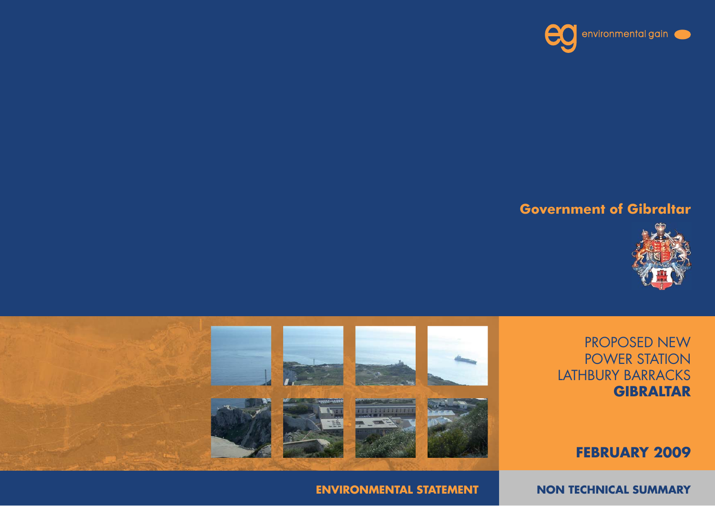**NON TECHNICAL SUMMARY** 

**ENVIRONMENTAL STATEMENT**







**FEBRUARY 2009**



### **Government of Gibraltar**

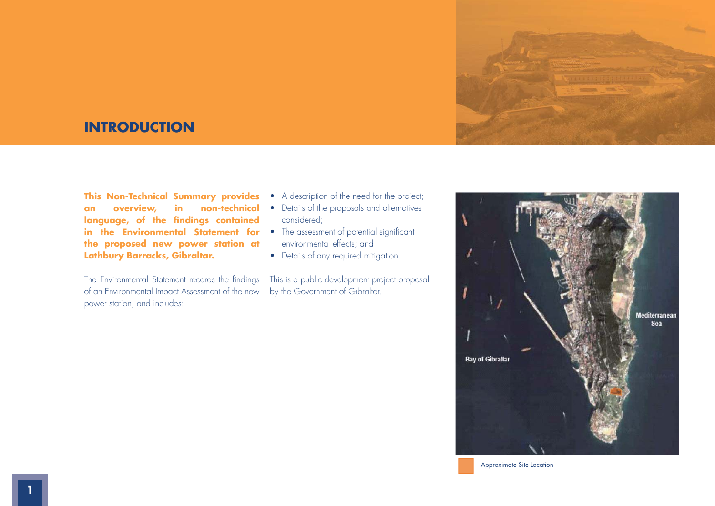

### **INTRODUCTION**

**This Non-Technical Summary provides an overview, in non-technical**  language, of the findings contained **in the Environmental Statement for •** The assessment of potential significant **the proposed new power station at Lathbury Barracks, Gibraltar.** 

The Environmental Statement records the findings of an Environmental Impact Assessment of the new power station, and includes:

- A description of the need for the project;
- Details of the proposals and alternatives considered;
- environmental effects; and
- Details of any required mitigation.

This is a public development project proposal by the Government of Gibraltar.



Approximate Site Location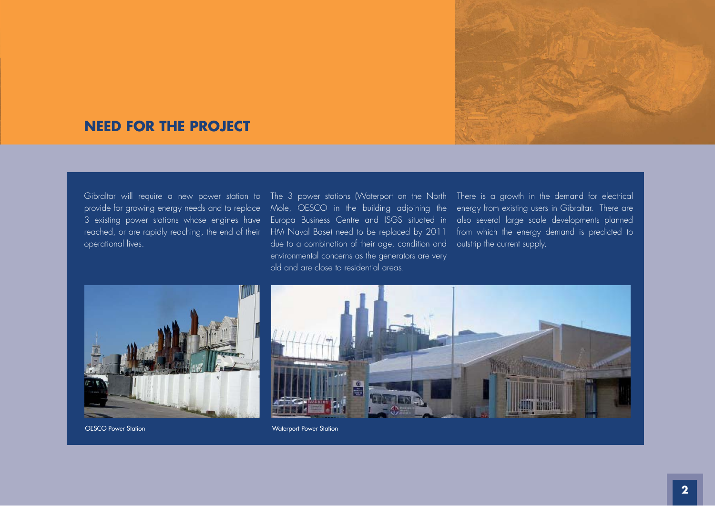

### **NEED FOR THE PROJECT**

operational lives.

provide for growing energy needs and to replace Mole, OESCO in the building adjoining the energy from existing users in Gibraltar. There are 3 existing power stations whose engines have Europa Business Centre and ISGS situated in also several large scale developments planned reached, or are rapidly reaching, the end of their HM Naval Base) need to be replaced by 2011 from which the energy demand is predicted to due to a combination of their age, condition and outstrip the current supply. environmental concerns as the generators are very old and are close to residential areas.

Gibraltar will require a new power station to The 3 power stations (Waterport on the North) There is a growth in the demand for electrical



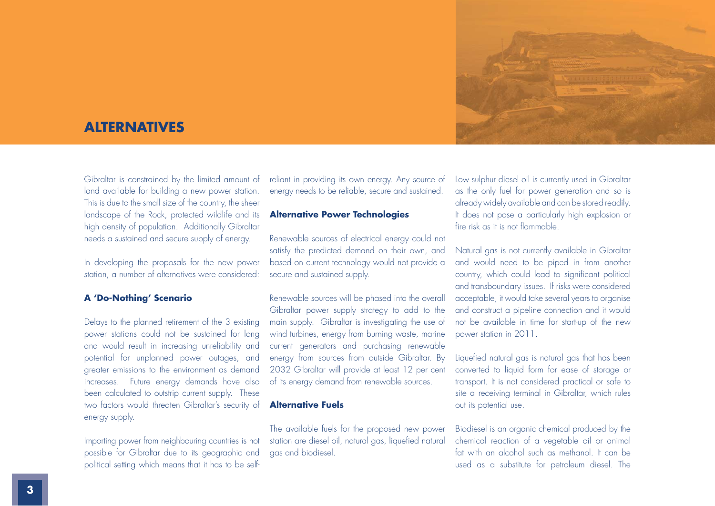

### **ALTERNATIVES**

Gibraltar is constrained by the limited amount of land available for building a new power station. This is due to the small size of the country, the sheer landscape of the Rock, protected wildlife and its high density of population. Additionally Gibraltar needs a sustained and secure supply of energy.

In developing the proposals for the new power station, a number of alternatives were considered:

### **A 'Do-Nothing' Scenario**

Delays to the planned retirement of the 3 existing power stations could not be sustained for long and would result in increasing unreliability and potential for unplanned power outages, and greater emissions to the environment as demand increases. Future energy demands have also been calculated to outstrip current supply. These two factors would threaten Gibraltar's security of **Alternative Fuels** energy supply.

Importing power from neighbouring countries is not possible for Gibraltar due to its geographic and political setting which means that it has to be selfreliant in providing its own energy. Any source of energy needs to be reliable, secure and sustained.

### **Alternative Power Technologies**

Renewable sources of electrical energy could not<br>satisfy the predicted demand on their own, and<br>based on current technology would not provide a<br>secure and sustained supply.<br>Renewable sources will be phased into the overall

reliant in providing its own energy. Any souce of Low sulphur dissel oil is currently used in Gibsalar energy needs to be reliable, secure and sustained. The energy of the power Technologies and subsel of the providible an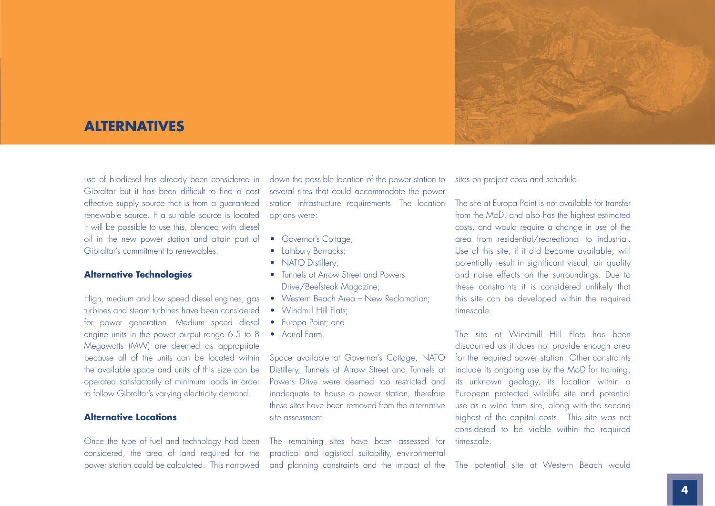

### **ALTERNATIVES**

use of biodiesel has already been considered in Gibraltar but it has been difficult to find a cost effective supply source that is from a guaranteed renewable source. If a suitable source is located it will be possible to use this, blended with diesel oil in the new power station and attain part of Gibraltar's commitment to renewables.

#### **Alternative Technologies**

High, medium and low speed diesel engines, gas turbines and steam turbines have been considered for power generation. Medium speed diesel engine units in the power output range 6.5 to 8 Megawatts (MW) are deemed as appropriate because all of the units can be located within the available space and units of this size can be operated satisfactorily at minimum loads in order to follow Gibraltar's varying electricity demand.

#### **Alternative Locations**

Once the type of fuel and technology had been considered, the area of land required for the power station could be calculated. This narrowed down the possible location of the power station to several sites that could accommodate the power station infrastructure requirements. The location options were:

- Governor's Cottage;
- Lathbury Barracks;
- NATO Distillery;
- Tunnels at Arrow Street and Powers Drive/Beefsteak Magazine;
- Western Beach Area New Reclamation;
- Windmill Hill Flats:
- Europa Point; and
- Aerial Farm.

Space available at Governor's Cottage, NATO Distillery, Tunnels at Arrow Street and Tunnels at Powers Drive were deemed too restricted and inadequate to house a power station, therefore these sites have been removed from the alternative site assessment.

The remaining sites have been assessed for practical and logistical suitability, environmental and planning constraints and the impact of the

sites on project costs and schedule.

The site at Europa Point is not available for transfer from the MoD, and also has the highest estimated costs, and would require a change in use of the area from residential/recreational to industrial. Use of this site, if it did become available, will potentially result in significant visual, air quality and noise effects on the surroundings. Due to these constraints it is considered unlikely that this site can be developed within the required timescale.

The site at Windmill Hill Flats has been discounted as it does not provide enough area for the required power station. Other constraints include its ongoing use by the MoD for training, its unknown geology, its location within a European protected wildlife site and potential use as a wind farm site, along with the second highest of the capital costs. This site was not considered to be viable within the required timescale.

The potential site at Western Beach would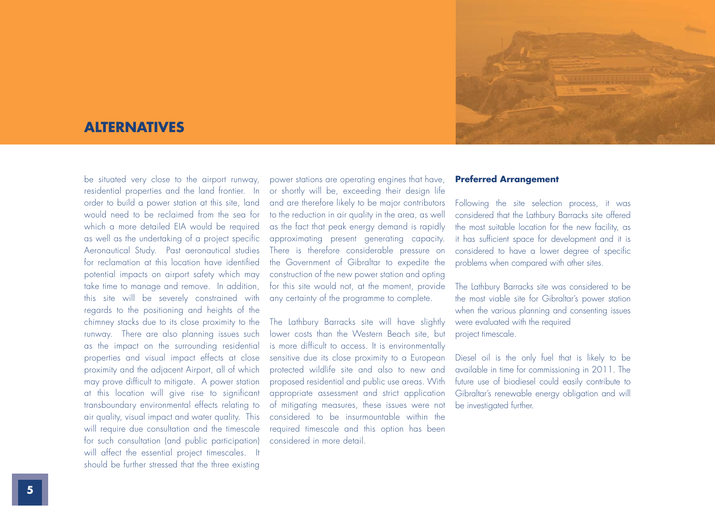

### **ALTERNATIVES**

be situated very close to the airport runway, residential properties and the land frontier. In order to build a power station at this site, land would need to be reclaimed from the sea for which a more detailed EIA would be required as well as the undertaking of a project specific Aeronautical Study. Past aeronautical studies for reclamation at this location have identified potential impacts on airport safety which may take time to manage and remove. In addition, this site will be severely constrained with regards to the positioning and heights of the chimney stacks due to its close proximity to the runway. There are also planning issues such as the impact on the surrounding residential properties and visual impact effects at close proximity and the adjacent Airport, all of which may prove difficult to mitigate. A power station at this location will give rise to significant transboundary environmental effects relating to air quality, visual impact and water quality. This will require due consultation and the timescale for such consultation (and public participation) will affect the essential project timescales. It should be further stressed that the three existing

power stations are operating engines that have, or shortly will be, exceeding their design life and are therefore likely to be major contributors to the reduction in air quality in the area, as well as the fact that peak energy demand is rapidly approximating present generating capacity. There is therefore considerable pressure on the Government of Gibraltar to expedite the construction of the new power station and opting for this site would not, at the moment, provide any certainty of the programme to complete.

The Lathbury Barracks site will have slightly lower costs than the Western Beach site, but is more difficult to access. It is environmentally sensitive due its close proximity to a European protected wildlife site and also to new and proposed residential and public use areas. With appropriate assessment and strict application of mitigating measures, these issues were not considered to be insurmountable within the required timescale and this option has been considered in more detail.

#### **Preferred Arrangement**

Following the site selection process, it was considered that the Lathbury Barracks site offered the most suitable location for the new facility, as it has sufficient space for development and it is considered to have a lower degree of specific problems when compared with other sites.

The Lathbury Barracks site was considered to be the most viable site for Gibraltar's power station when the various planning and consenting issues were evaluated with the required project timescale.

Diesel oil is the only fuel that is likely to be available in time for commissioning in 2011. The future use of biodiesel could easily contribute to Gibraltar's renewable energy obligation and will be investigated further.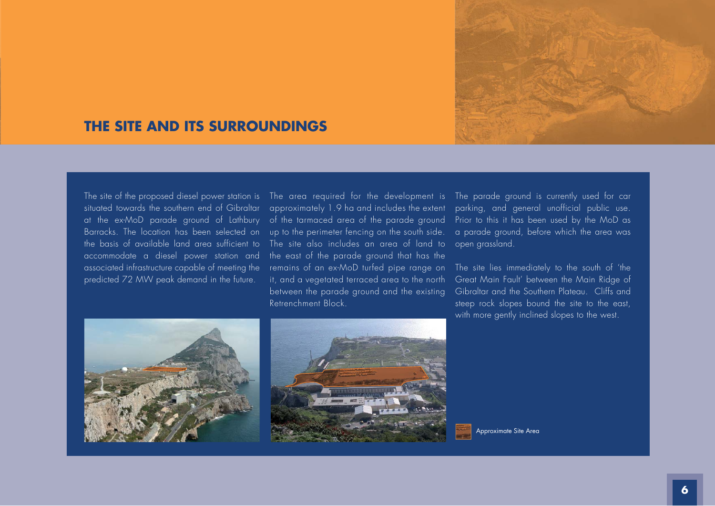

### **THE SITE AND ITS SURROUNDINGS**

**N** accommodate a diesel power station and Barracks. The location has been selected on the basis of available land area sufficient to associated infrastructure capable of meeting the predicted 72 MW peak demand in the future.

**N** Retrenchment Block. situated towards the southern end of Gibraltar approximately 1.9 ha and includes the extent parking, and general unofficial public use. at the ex-MoD parade ground of Lathbury of the tarmaced area of the parade ground up to the perimeter fencing on the south side. The site also includes an area of land to open grassland. the east of the parade ground that has the remains of an ex-MoD turfed pipe range on The site lies immediately to the south of 'the it, and a vegetated terraced area to the north between the parade ground and the existing

environmental gain

The site of the proposed diesel power station is The area required for the development is The parade ground is currently used for car Prior to this it has been used by the MoD as a parade ground, before which the area was

> Great Main Fault' between the Main Ridge of Gibraltar and the Southern Plateau. Cliffs and steep rock slopes bound the site to the east, with more gently inclined slopes to the west.





Approximate Site Area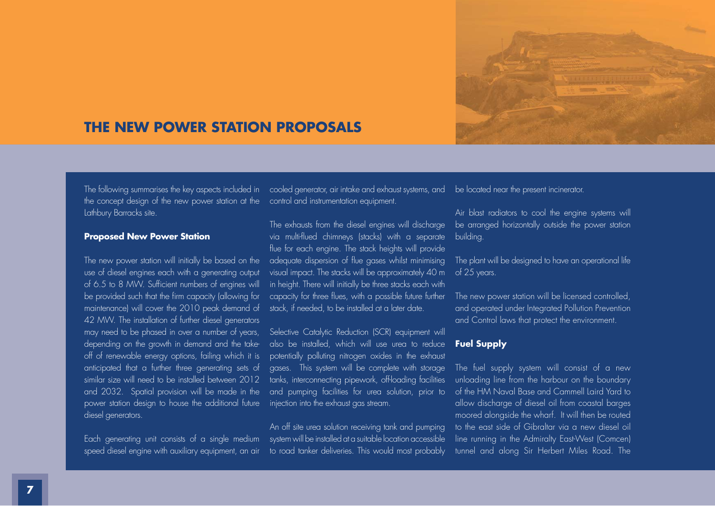

# **THE NEW POWER STATION PROPOSALS**

the concept design of the new power station at the control and instrumentation equipment. Lathbury Barracks site.

#### **Proposed New Power Station**

The new power station will initially be based on the use of diesel engines each with a generating output of 6.5 to 8 MW. Sufficient numbers of engines will be provided such that the firm capacity (allowing for maintenance) will cover the 2010 peak demand of 42 MW. The installation of further diesel generators may need to be phased in over a number of years, depending on the growth in demand and the takeoff of renewable energy options, failing which it is anticipated that a further three generating sets of similar size will need to be installed between 2012 and 2032. Spatial provision will be made in the power station design to house the additional future diesel generators.

The following summarises the key aspects included in cooled generator, air intake and exhaust systems, and be located near the present incinerator.

The exhausts from the diesel engines will discharge via multi-flued chimneys (stacks) with a separate flue for each engine. The stack heights will provide adequate dispersion of flue gases whilst minimising visual impact. The stacks will be approximately 40 m in height. There will initially be three stacks each with capacity for three flues, with a possible future further stack, if needed, to be installed at a later date.

Selective Catalytic Reduction (SCR) equipment will also be installed, which will use urea to reduce potentially polluting nitrogen oxides in the exhaust gases. This system will be complete with storage tanks, interconnecting pipework, off-loading facilities and pumping facilities for urea solution, prior to injection into the exhaust gas stream.

Each generating unit consists of a single medium system will be installed at a suitable location accessible speed diesel engine with auxiliary equipment, an air to road tanker deliveries. This would most probably An off site urea solution receiving tank and pumping

Air blast radiators to cool the engine systems will be arranged horizontally outside the power station building.

The plant will be designed to have an operational life of 25 years.

The new power station will be licensed controlled, and operated under Integrated Pollution Prevention and Control laws that protect the environment.

### **Fuel Supply**

The fuel supply system will consist of a new unloading line from the harbour on the boundary of the HM Naval Base and Cammell Laird Yard to allow discharge of diesel oil from coastal barges moored alongside the wharf. It will then be routed to the east side of Gibraltar via a new diesel oil line running in the Admiralty East-West (Comcen) tunnel and along Sir Herbert Miles Road. The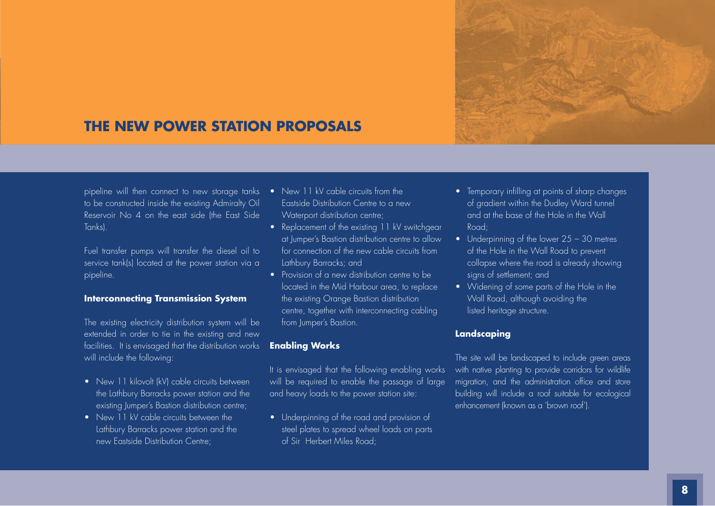

# **THE NEW POWER STATION PROPOSALS**

<sup>p</sup>ipeline will then connect to new storage tanks to be constructed inside the existing Admiralty Oil Reservoir No 4 on the east side (the East Side Tanks).

Fuel transfer pumps will transfer the diesel oil to service tank(s) located at the power station via a <sup>p</sup>ipeline.

### **Interconnecting Transmission System**

The existing electricity distribution system will be extended in order to tie in the existing and new facilities. It is envisaged that the distribution works will include the following:

- New 11 kilovolt (kV) cable circuits between the Lathbury Barracks power station and the existing Jumper's Bastion distribution centre;
- New 11 kV cable circuits between the Lathbury Barracks power station and the new Eastside Distribution Centre;
- New 11 kV cable circuits from the Eastside Distribution Centre to a new Waterport distribution centre;
- Replacement of the existing 11 kV switchgear at Jumper's Bastion distribution centre to allow for connection of the new cable circuits from Lathbury Barracks; and
- Provision of a new distribution centre to be located in the Mid Harbour area, to replace the existing Orange Bastion distribution centre, together with interconnecting cabling from Jumper's Bastion.

#### **Enabling Works**

It is envisaged that the following enabling works will be required to enable the passage of large and heavy loads to the power station site:

• Underpinning of the road and provision of steel plates to spread wheel loads on parts of Sir Herbert Miles Road;

- Temporary infilling at points of sharp changes of gradient within the Dudley Ward tunnel and at the base of the Hole in the Wall Road<sup>.</sup>
- Underpinning of the lower 25 30 metres of the Hole in the Wall Road to prevent collapse where the road is already showing signs of settlement; and
- Widening of some parts of the Hole in the Wall Road, although avoiding the listed heritage structure.

### **Landscaping**

The site will be landscaped to include green areas with native planting to provide corridors for wildlife migration, and the administration office and store building will include a roof suitable for ecological enhancement (known as a 'brown roof').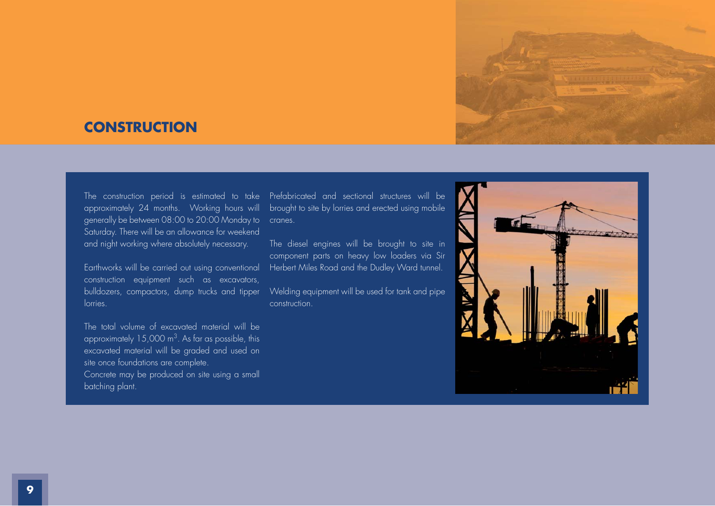

## **CONSTRUCTION**

approximately 24 months. Working hours will generally be between 08:00 to 20:00 Monday to cranes. Saturday. There will be an allowance for weekend and night working where absolutely necessary.

Earthworks will be carried out using conventional construction equipment such as excavators, bulldozers, compactors, dump trucks and tipper lorries.

The total volume of excavated material will be approximately  $15,000 \text{ m}^3$ . As far as possible, this excavated material will be graded and used on site once foundations are complete.

Concrete may be produced on site using a small batching plant.

The construction period is estimated to take Prefabricated and sectional structures will be brought to site by lorries and erected using mobile

> The diesel engines will be brought to site in component parts on heavy low loaders via Sir Herbert Miles Road and the Dudley Ward tunnel.

> Welding equipment will be used for tank and pipe construction.

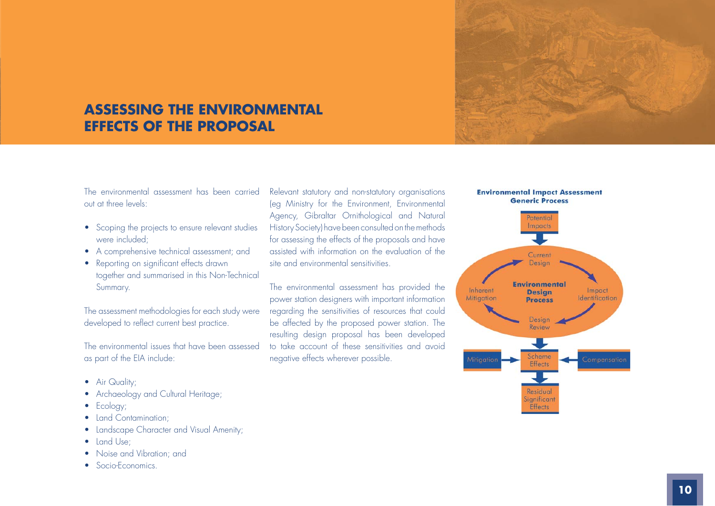

# **ASSESSING THE ENVIRONMENTAL EFFECTS OF THE PROPOSAL**

The environmental assessment has been carried out at three levels:

- Scoping the projects to ensure relevant studies were included;
- A comprehensive technical assessment: and
- Reporting on significant effects drawn together and summarised in this Non-Technical Summary.

The assessment methodologies for each study were developed to reflect current best practice.

The environmental issues that have been assessed as part of the EIA include:

- Air Quality;
- Archaeology and Cultural Heritage;
- Ecology;
- Land Contamination:
- Landscape Character and Visual Amenity;
- Land Use:
- Noise and Vibration: and
- Socio-Economics.

Relevant statutory and non-statutory organisations (eg Ministry for the Environment, Environmental Agency, Gibraltar Ornithological and Natural History Society) have been consulted on the methods for assessing the effects of the proposals and have assisted with information on the evaluation of the site and environmental sensitivities.

The environmental assessment has provided the power station designers with important information regarding the sensitivities of resources that could be affected by the proposed power station. The resulting design proposal has been developed to take account of these sensitivities and avoid negative effects wherever possible.



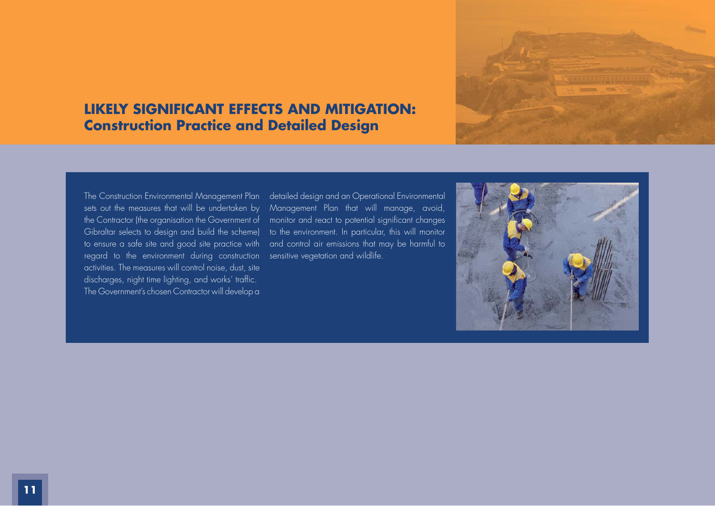

# **LIKELY SIGNIFICANT EFFECTS AND MITIGATION: Construction Practice and Detailed Design**

sets out the measures that will be undertaken by the Contractor (the organisation the Government of Gibraltar selects to design and build the scheme) regard to the environment during construction sensitive vegetation and wildlife. activities. The measures will control noise, dust, site discharges, night time lighting, and works' traffic. The Government's chosen Contractor will develop a

The Construction Environmental Management Plan detailed design and an Operational Environmental to ensure a safe site and good site practice with and control air emissions that may be harmful to Management Plan that will manage, avoid, monitor and react to potential significant changes to the environment. In particular, this will monitor

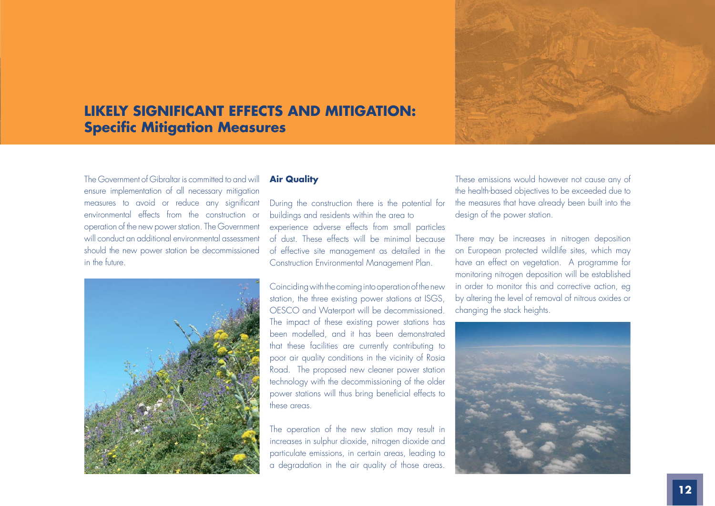

The Government of Gibraltar is committed to and will ensure implementation of all necessary mitigation measures to avoid or reduce any significant environmental effects from the construction or operation of the new power station. The Government will conduct an additional environmental assessment should the new power station be decommissioned in the future.



#### **Air Quality**

During the construction there is the potential for buildings and residents within the area to experience adverse effects from small particles of dust. These effects will be minimal because of effective site management as detailed in the Construction Environmental Management Plan.

Coinciding with the coming into operation of the new station, the three existing power stations at ISGS, OESCO and Waterport will be decommissioned. The impact of these existing power stations has been modelled, and it has been demonstrated that these facilities are currently contributing to poor air quality conditions in the vicinity of Rosia Road. The proposed new cleaner power station technology with the decommissioning of the older power stations will thus bring beneficial effects to these areas.

The operation of the new station may result in increases in sulphur dioxide, nitrogen dioxide and particulate emissions, in certain areas, leading to a degradation in the air quality of those areas.

These emissions would however not cause any of the health-based objectives to be exceeded due to the measures that have already been built into the design of the power station.

There may be increases in nitrogen deposition on European protected wildlife sites, which may have an effect on vegetation. A programme for monitoring nitrogen deposition will be established in order to monitor this and corrective action, eg by altering the level of removal of nitrous oxides or changing the stack heights.

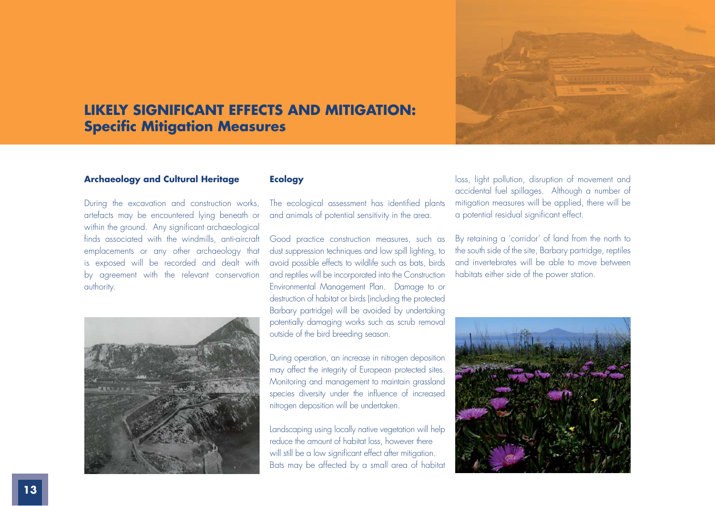

### **Archaeology and Cultural Heritage**

During the excavation and construction works, artefacts may be encountered lying beneath or within the ground. Any significant archaeological finds associated with the windmills, anti-aircraft emplacements or any other archaeology that is exposed will be recorded and dealt with by agreement with the relevant conservation authority.



### **Ecology**

The ecological assessment has identified plants and animals of potential sensitivity in the area.

Good practice construction measures, such as dust suppression techniques and low spill lighting, to avoid possible effects to wildlife such as bats, birds and reptiles will be incorporated into the Construction Environmental Management Plan. Damage to or destruction of habitat or birds (including the protected Barbary partridge) will be avoided by undertaking potentially damaging works such as scrub removal outside of the bird breeding season.

During operation, an increase in nitrogen deposition may affect the integrity of European protected sites. Monitoring and management to maintain grassland species diversity under the influence of increased nitrogen deposition will be undertaken.

Landscaping using locally native vegetation will help reduce the amount of habitat loss, however there will still be a low significant effect after mitigation. Bats may be affected by a small area of habitat

loss, light pollution, disruption of movement and accidental fuel spillages. Although a number of mitigation measures will be applied, there will be a potential residual significant effect.

By retaining a 'corridor' of land from the north to the south side of the site, Barbary partridge, reptiles and invertebrates will be able to move between habitats either side of the power station.

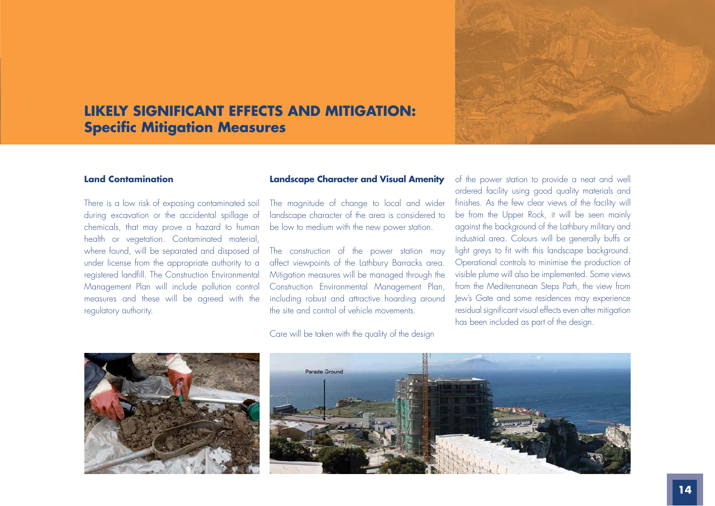

#### **Land Contamination**

There is a low risk of exposing contaminated soil during excavation or the accidental spillage of chemicals, that may prove a hazard to human health or vegetation. Contaminated material, where found, will be separated and disposed of under license from the appropriate authority to a registered landfill. The Construction Environmental Management Plan will include pollution control measures and these will be agreed with the regulatory authority.

#### **Landscape Character and Visual Amenity**

The magnitude of change to local and wider landscape character of the area is considered to be low to medium with the new power station.

The construction of the power station may affect viewpoints of the Lathbury Barracks area. Mitigation measures will be managed through the Construction Environmental Management Plan, including robust and attractive hoarding around the site and control of vehicle movements.

Care will be taken with the quality of the design

of the power station to provide a neat and well ordered facility using good quality materials and finishes. As the few clear views of the facility will be from the Upper Rock, it will be seen mainly against the background of the Lathbury military and industrial area. Colours will be generally buffs or light greys to fit with this landscape background. Operational controls to minimise the production of visible plume will also be implemented. Some views from the Mediterranean Steps Path, the view from Jew's Gate and some residences may experience residual significant visual effects even after mitigation has been included as part of the design.





**ES: VOLUME 3**

**LANDSCAPE CHARACTER AND VISUAL AMENITY**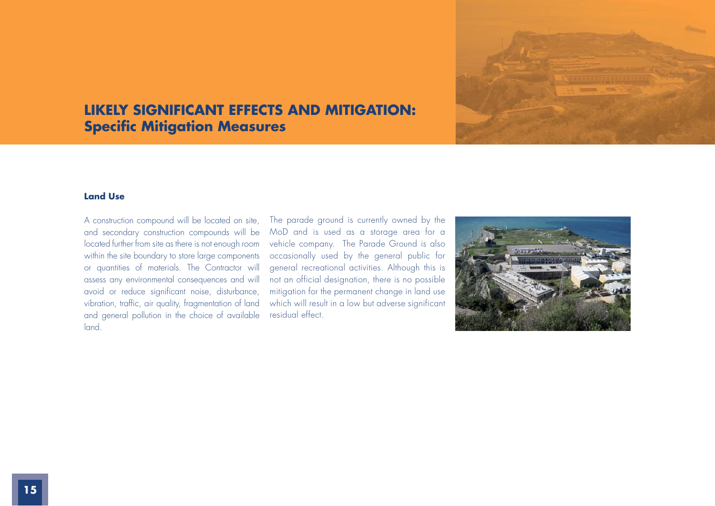

### **Land Use**

A construction compound will be located on site, and secondary construction compounds will be located further from site as there is not enough room within the site boundary to store large components or quantities of materials. The Contractor will assess any environmental consequences and will avoid or reduce significant noise, disturbance, vibration, traffic, air quality, fragmentation of land and general pollution in the choice of available land.

The parade ground is currently owned by the MoD and is used as a storage area for a vehicle company. The Parade Ground is also occasionally used by the general public for general recreational activities. Although this is not an official designation, there is no possible mitigation for the permanent change in land use which will result in a low but adverse significant residual effect.

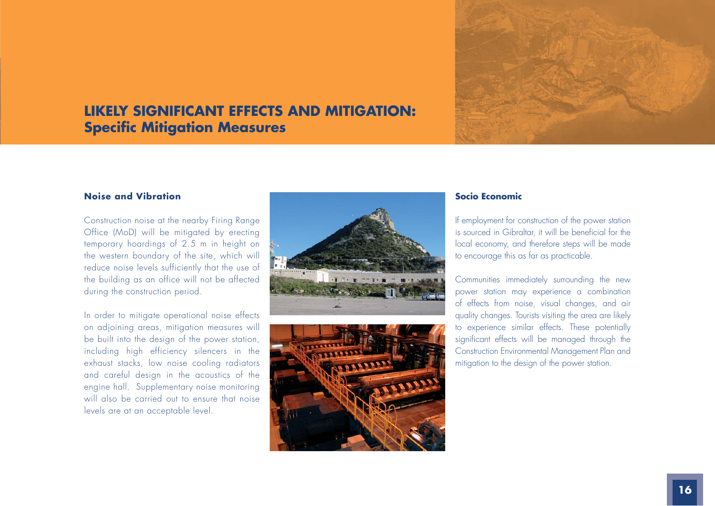

### **Noise and Vibration**

Construction noise at the nearby Firing Range Office (MoD) will be mitigated by erecting temporary hoardings of 2.5 m in height on the western boundary of the site, which will reduce noise levels sufficiently that the use of the building as an office will not be affected during the construction period.

In order to mitigate operational noise effects on adjoining areas, mitigation measures will be built into the design of the power station, including high efficiency silencers in the exhaust stacks, low noise cooling radiators and careful design in the acoustics of the engine hall. Supplementary noise monitoring will also be carried out to ensure that noise levels are at an acceptable level.





### **Socio Economic**

If employment for construction of the power station is sourced in Gibraltar, it will be beneficial for the local economy, and therefore steps will be made to encourage this as far as practicable.

Communities immediately surrounding the new power station may experience a combination of effects from noise, visual changes, and air quality changes. Tourists visiting the area are likely to experience similar effects. These potentially significant effects will be managed through the Construction Environmental Management Plan and mitigation to the design of the power station.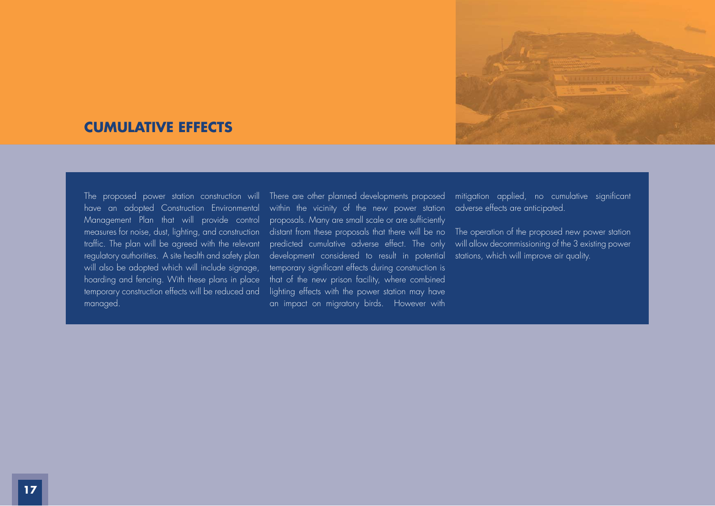

### **CUMULATIVE EFFECTS**

The proposed power station construction will have an adopted Construction Environmental Management Plan that will provide control measures for noise, dust, lighting, and construction traffic. The plan will be agreed with the relevant regulatory authorities. A site health and safety plan will also be adopted which will include signage, hoarding and fencing. With these plans in place temporary construction effects will be reduced and managed.

within the vicinity of the new power station adverse effects are anticipated. proposals. Many are small scale or are sufficiently distant from these proposals that there will be no  $\;$  The operation of the proposed new power station  $\;$ predicted cumulative adverse effect. The only development considered to result in potential temporary significant effects during construction is that of the new prison facility, where combined lighting effects with the power station may have an impact on migratory birds. However with

There are other planned developments proposed mitigation applied, no cumulative significant

will allow decommissioning of the 3 existing power stations, which will improve air quality.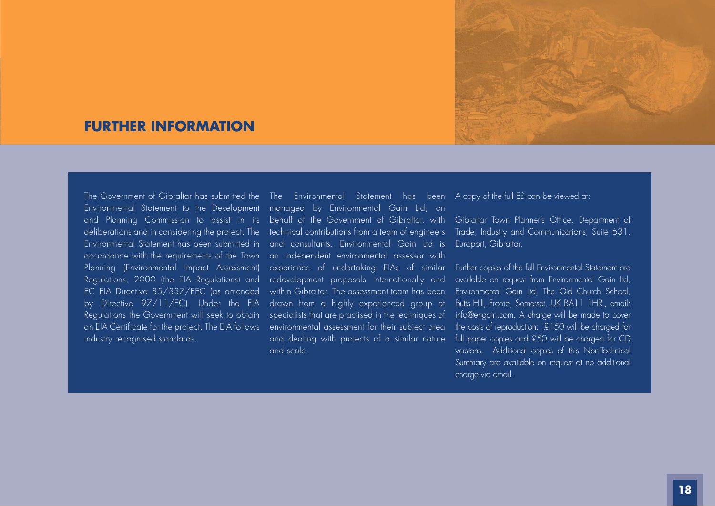

# **FURTHER INFORMATION**

Environmental Statement to the Development and Planning Commission to assist in its deliberations and in considering the project. The Environmental Statement has been submitted in accordance with the requirements of the Town Planning (Environmental Impact Assessment) Regulations, 2000 (the EIA Regulations) and EC EIA Directive 85/337/EEC (as amended by Directive 97/11/EC). Under the EIA Regulations the Government will seek to obtain an EIA Certificate for the project. The EIA follows industry recognised standards.

The Government of Gibraltar has submitted the The Environmental Statement has been A copy of the full ES can be viewed at: managed by Environmental Gain Ltd, on behalf of the Government of Gibraltar, with Gibraltar Town Planner's Office, Department of technical contributions from a team of engineers and consultants. Environmental Gain Ltd is an independent environmental assessor with experience of undertaking EIAs of similar redevelopment proposals internationally and within Gibraltar. The assessment team has been drawn from a highly experienced group of specialists that are practised in the techniques of environmental assessment for their subject area and dealing with projects of a similar nature and scale.

Trade, Industry and Communications, Suite 631, Europort, Gibraltar.

Further copies of the full Environmental Statement are available on request from Environmental Gain Ltd, Environmental Gain Ltd, The Old Church School, Butts Hill, Frome, Somerset, UK BA11 1HR,, email: info@engain.com. A charge will be made to cover the costs of reproduction: £150 will be charged for full paper copies and £50 will be charged for CD versions. Additional copies of this Non-Technical Summary are available on request at no additional charge via email.